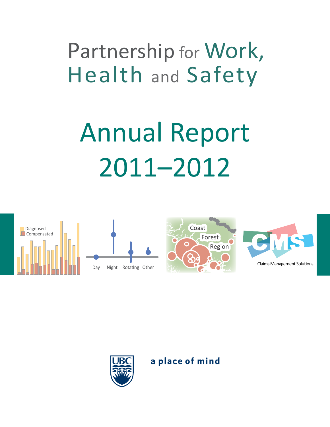# Partnership for Work, Health and Safety

# Annual Report 2011–2012







a place of mind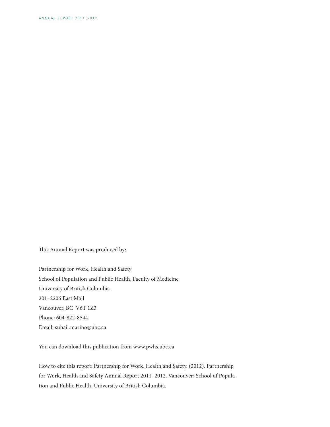This Annual Report was produced by:

Partnership for Work, Health and Safety School of Population and Public Health, Faculty of Medicine University of British Columbia 201–2206 East Mall Vancouver, BC V6T 1Z3 Phone: 604-822-8544 Email: suhail.marino@ubc.ca

You can download this publication from www.pwhs.ubc.ca

How to cite this report: Partnership for Work, Health and Safety. (2012). Partnership for Work, Health and Safety Annual Report 2011–2012. Vancouver: School of Population and Public Health, University of British Columbia.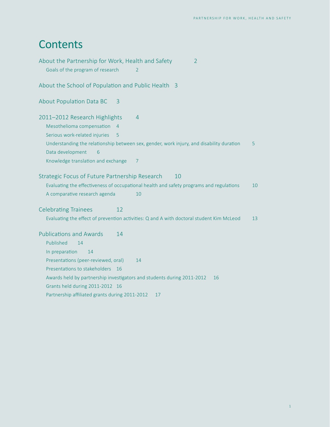# **Contents**

| About the Partnership for Work, Health and Safety                                                                  | $\overline{2}$                                                                           |    |
|--------------------------------------------------------------------------------------------------------------------|------------------------------------------------------------------------------------------|----|
| Goals of the program of research                                                                                   | $\mathcal{L}$                                                                            |    |
| About the School of Population and Public Health 3                                                                 |                                                                                          |    |
| About Population Data BC<br>3                                                                                      |                                                                                          |    |
| 2011-2012 Research Highlights<br>Mesothelioma compensation<br>$\overline{4}$<br>Serious work-related injuries<br>5 | 4                                                                                        |    |
| Data development<br>6                                                                                              | Understanding the relationship between sex, gender, work injury, and disability duration | 5. |
| Knowledge translation and exchange                                                                                 | 7                                                                                        |    |
| Strategic Focus of Future Partnership Research                                                                     | 10                                                                                       |    |
|                                                                                                                    | Evaluating the effectiveness of occupational health and safety programs and regulations  | 10 |
| A comparative research agenda                                                                                      | 10                                                                                       |    |
| <b>Celebrating Trainees</b><br>12                                                                                  |                                                                                          |    |
|                                                                                                                    | Evaluating the effect of prevention activities: Q and A with doctoral student Kim McLeod | 13 |
| <b>Publications and Awards</b><br>14<br>Published<br>14<br>In preparation<br>14                                    |                                                                                          |    |
| Presentations (peer-reviewed, oral)                                                                                | 14                                                                                       |    |
| Presentations to stakeholders<br>16                                                                                |                                                                                          |    |
|                                                                                                                    | Awards held by partnership investigators and students during 2011-2012<br>16             |    |
| Grants held during 2011-2012 16                                                                                    |                                                                                          |    |
| Partnership affiliated grants during 2011-2012                                                                     | 17                                                                                       |    |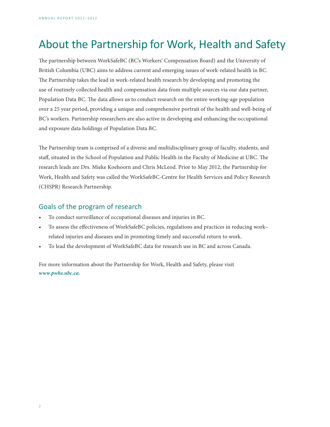# <span id="page-3-0"></span>About the Partnership for Work, Health and Safety

The partnership between WorkSafeBC (BC's Workers' Compensation Board) and the University of British Columbia (UBC) aims to address current and emerging issues of work-related health in BC. The Partnership takes the lead in work-related health research by developing and promoting the use of routinely collected health and compensation data from multiple sources via our data partner, Population Data BC. The data allows us to conduct research on the entire working-age population over a 25 year period, providing a unique and comprehensive portrait of the health and well-being of BC's workers. Partnership researchers are also active in developing and enhancing the occupational and exposure data holdings of Population Data BC.

The Partnership team is comprised of a diverse and multidisciplinary group of faculty, students, and staff, situated in the School of Population and Public Health in the Faculty of Medicine at UBC. The research leads are Drs. Mieke Koehoorn and Chris McLeod. Prior to May 2012, the Partnership for Work, Health and Safety was called the WorkSafeBC-Centre for Health Services and Policy Research (CHSPR) Research Partnership.

## Goals of the program of research

- To conduct surveillance of occupational diseases and injuries in BC.
- To assess the effectiveness of WorkSafeBC policies, regulations and practices in reducing work– related injuries and diseases and in promoting timely and successful return to work.
- To lead the development of WorkSafeBC data for research use in BC and across Canada.

For more information about the Partnership for Work, Health and Safety, please visit *[www.pwhs.ubc.ca.](http://www.pwhs.ubc.ca)*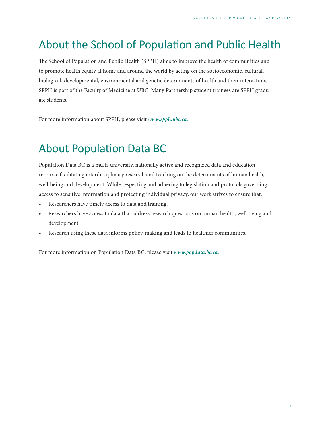# <span id="page-4-0"></span>About the School of Population and Public Health

The School of Population and Public Health (SPPH) aims to improve the health of communities and to promote health equity at home and around the world by acting on the socioeconomic, cultural, biological, developmental, environmental and genetic determinants of health and their interactions. SPPH is part of the Faculty of Medicine at UBC. Many Partnership student trainees are SPPH graduate students.

For more information about SPPH, please visit *www.spph.ubc.ca.*

# About Population Data BC

Population Data BC is a multi-university, nationally active and recognized data and education resource facilitating interdisciplinary research and teaching on the determinants of human health, well-being and development. While respecting and adhering to legislation and protocols governing access to sensitive information and protecting individual privacy, our work strives to ensure that:

- Researchers have timely access to data and training.
- Researchers have access to data that address research questions on human health, well-being and development.
- Research using these data informs policy-making and leads to healthier communities.

For more information on Population Data BC, please visit *www.popdata.bc.ca.*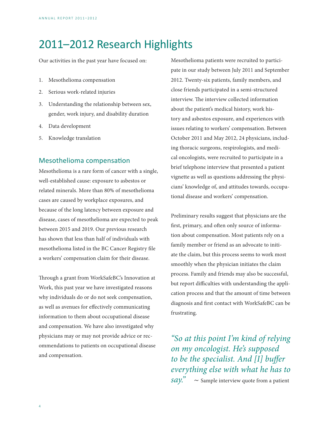# <span id="page-5-0"></span>2011–2012 Research Highlights

Our activities in the past year have focused on:

- 1. Mesothelioma compensation
- 2. Serious work-related injuries
- 3. Understanding the relationship between sex, gender, work injury, and disability duration
- 4. Data development
- 5. Knowledge translation

### Mesothelioma compensation

Mesothelioma is a rare form of cancer with a single, well-established cause: exposure to asbestos or related minerals. More than 80% of mesothelioma cases are caused by workplace exposures, and because of the long latency between exposure and disease, cases of mesothelioma are expected to peak between 2015 and 2019. Our previous research has shown that less than half of individuals with mesothelioma listed in the BC Cancer Registry file a workers' compensation claim for their disease.

Through a grant from WorkSafeBC's Innovation at Work, this past year we have investigated reasons why individuals do or do not seek compensation, as well as avenues for effectively communicating information to them about occupational disease and compensation. We have also investigated why physicians may or may not provide advice or recommendations to patients on occupational disease and compensation.

Mesothelioma patients were recruited to participate in our study between July 2011 and September 2012. Twenty-six patients, family members, and close friends participated in a semi-structured interview. The interview collected information about the patient's medical history, work history and asbestos exposure, and experiences with issues relating to workers' compensation. Between October 2011 and May 2012, 24 physicians, including thoracic surgeons, respirologists, and medical oncologists, were recruited to participate in a brief telephone interview that presented a patient vignette as well as questions addressing the physicians' knowledge of, and attitudes towards, occupational disease and workers' compensation.

Preliminary results suggest that physicians are the first, primary, and often only source of information about compensation. Most patients rely on a family member or friend as an advocate to initiate the claim, but this process seems to work most smoothly when the physician initiates the claim process. Family and friends may also be successful, but report difficulties with understanding the application process and that the amount of time between diagnosis and first contact with WorkSafeBC can be frustrating.

*"So at this point I'm kind of relying on my oncologist. He's supposed to be the specialist. And [I] buffer everything else with what he has to*   $say.$ <sup>"</sup>  $\sim$  Sample interview quote from a patient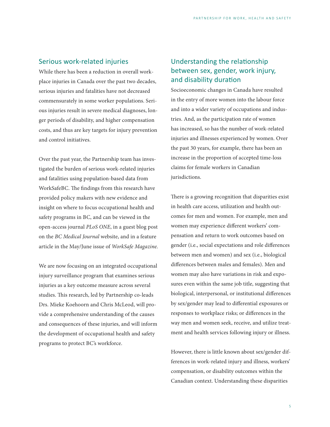## <span id="page-6-0"></span>Serious work-related injuries

While there has been a reduction in overall workplace injuries in Canada over the past two decades, serious injuries and fatalities have not decreased commensurately in some worker populations. Serious injuries result in severe medical diagnoses, longer periods of disability, and higher compensation costs, and thus are key targets for injury prevention and control initiatives.

Over the past year, the Partnership team has investigated the burden of serious work-related injuries and fatalities using population-based data from WorkSafeBC. The findings from this research have provided policy makers with new evidence and insight on where to focus occupational health and safety programs in BC, and can be viewed in the open-access journal *PLoS ONE*, in a guest blog post on the *BC Medical Journal* website, and in a feature article in the May/June issue of *WorkSafe Magazine.*

We are now focusing on an integrated occupational injury surveillance program that examines serious injuries as a key outcome measure across several studies. This research, led by Partnership co-leads Drs. Mieke Koehoorn and Chris McLeod, will provide a comprehensive understanding of the causes and consequences of these injuries, and will inform the development of occupational health and safety programs to protect BC's workforce.

# Understanding the relationship between sex, gender, work injury, and disability duration

Socioeconomic changes in Canada have resulted in the entry of more women into the labour force and into a wider variety of occupations and industries. And, as the participation rate of women has increased, so has the number of work-related injuries and illnesses experienced by women. Over the past 30 years, for example, there has been an increase in the proportion of accepted time-loss claims for female workers in Canadian jurisdictions.

There is a growing recognition that disparities exist in health care access, utilization and health outcomes for men and women. For example, men and women may experience different workers' compensation and return to work outcomes based on gender (i.e., social expectations and role differences between men and women) and sex (i.e., biological differences between males and females). Men and women may also have variations in risk and exposures even within the same job title, suggesting that biological, interpersonal, or institutional differences by sex/gender may lead to differential exposures or responses to workplace risks; or differences in the way men and women seek, receive, and utilize treatment and health services following injury or illness.

However, there is little known about sex/gender differences in work-related injury and illness, workers' compensation, or disability outcomes within the Canadian context. Understanding these disparities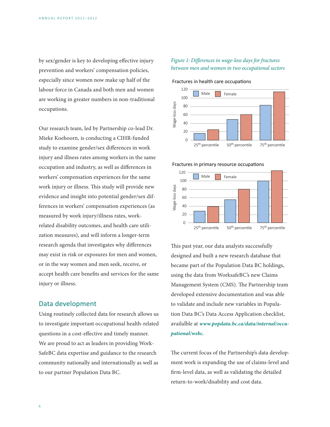<span id="page-7-0"></span>by sex/gender is key to developing effective injury prevention and workers' compensation policies, especially since women now make up half of the labour force in Canada and both men and women are working in greater numbers in non-traditional occupations.

Our research team, led by Partnership co-lead Dr. Mieke Koehoorn, is conducting a CIHR-funded study to examine gender/sex differences in work injury and illness rates among workers in the same occupation and industry, as well as differences in workers' compensation experiences for the same work injury or illness. This study will provide new evidence and insight into potential gender/sex differences in workers' compensation experiences (as measured by work injury/illness rates, workrelated disability outcomes, and health care utilization measures), and will inform a longer-term research agenda that investigates why differences may exist in risk or exposures for men and women, or in the way women and men seek, receive, or accept health care benefits and services for the same injury or illness.

## Data development

Using routinely collected data for research allows us to investigate important occupational health-related questions in a cost-effective and timely manner. We are proud to act as leaders in providing Work-SafeBC data expertise and guidance to the research community nationally and internationally as well as to our partner Population Data BC.

### *Figure 1: Differences in wage-loss days for fractures between men and women in two occupational sectors*

Fractures in health care occupations



Fractures in primary resource occupations



This past year, our data analysts successfully designed and built a new research database that became part of the Population Data BC holdings, using the data from WorksafeBC's new Claims Management System (CMS). The Partnership team developed extensive documentation and was able to validate and include new variables in Population Data BC's Data Access Application checklist, availalble at *[www.popdata.bc.ca/data/internal/occu](http://www.popdata.bc.ca/data/internal/occupational/wsbc)[pational/wsbc.](http://www.popdata.bc.ca/data/internal/occupational/wsbc)*

The current focus of the Partnership's data development work is expanding the use of claims-level and firm-level data, as well as validating the detailed return-to-work/disability and cost data.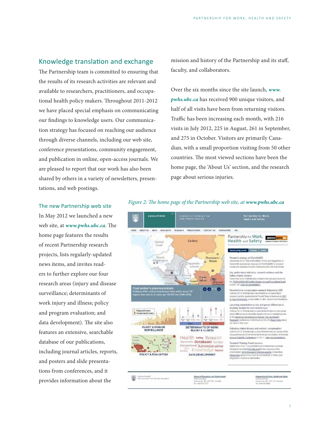## <span id="page-8-0"></span>Knowledge translation and exchange

The Partnership team is committed to ensuring that the results of its research activities are relevant and available to researchers, practitioners, and occupational health policy makers. Throughout 2011-2012 we have placed special emphasis on communicating our findings to knowledge users. Our communication strategy has focused on reaching our audience through diverse channels, including our web site, conference presentations, community engagement, and publication in online, open-access journals. We are pleased to report that our work has also been shared by others in a variety of newsletters, presentations, and web postings.

mission and history of the Partnership and its staff, faculty, and collaborators.

Over the six months since the site launch, *[www.](http://www.pwhs.ubc.ca) [pwhs.ubc.ca](http://www.pwhs.ubc.ca)* has received 900 unique visitors, and half of all visits have been from returning visitors. Traffic has been increasing each month, with 216 visits in July 2012, 225 in August, 261 in September, and 275 in October. Visitors are primarily Canadian, with a small proportion visiting from 50 other countries. The most viewed sections have been the home page, the 'About Us' section, and the research page about serious injuries.

#### The new Partnership web site

In May 2012 we launched a new web site, at *[www.pwhs.ubc.ca](http://www.pwhs.ubc.ca)*. The home page features the results of recent Partnership research projects, lists regularly-updated news items, and invites readers to further explore our four research areas (injury and disease surveillance; determinants of work injury and illness; policy and program evaluation; and data development). The site also features an extensive, searchable database of our publications, including journal articles, reports, and posters and slide presentations from conferences, and it provides information about the



#### *Figure 2: The home page of the Partnership web site, at [www.pwhs.ubc.ca](http://www.pwhs.ubc.ca)*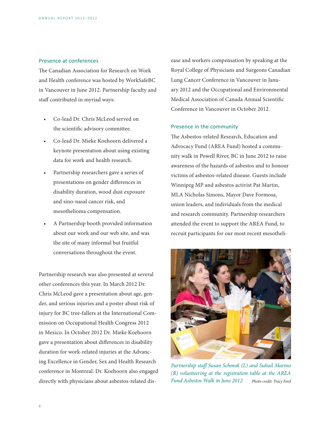#### Presence at conferences

The Canadian Association for Research on Work and Health conference was hosted by WorkSafeBC in Vancouver in June 2012. Partnership faculty and staff contributed in myriad ways:

- Co-lead Dr. Chris McLeod served on the scientific advisory committee.
- Co-lead Dr. Mieke Koehoorn delivered a keynote presentation about using existing data for work and health research.
- Partnership researchers gave a series of presentations on gender differences in disability duration, wood dust exposure and sino-nasal cancer risk, and mesothelioma compensation.
- A Partnership booth provided information about our work and our web site, and was the site of many informal but fruitful conversations throughout the event.

Partnership research was also presented at several other conferences this year. In March 2012 Dr. Chris McLeod gave a presentation about age, gender, and serious injuries and a poster about risk of injury for BC tree-fallers at the International Commission on Occupational Health Congress 2012 in Mexico. In October 2012 Dr. Mieke Koehoorn gave a presentation about differences in disability duration for work-related injuries at the Advancing Excellence in Gender, Sex and Health Research conference in Montreal. Dr. Koehoorn also engaged directly with physicians about asbestos-related dis-

ease and workers compensation by speaking at the Royal College of Physicians and Surgeons Canadian Lung Cancer Conference in Vancouver in January 2012 and the Occupational and Environmental Medical Association of Canada Annual Scientific Conference in Vancouver in October 2012.

#### Presence in the community

The Asbestos-related Research, Education and Advocacy Fund (AREA Fund) hosted a community walk in Powell River, BC in June 2012 to raise awareness of the hazards of asbestos and to honour victims of asbestos-related disease. Guests include Winnipeg MP and asbestos activist Pat Martin, MLA Nicholas Simons, Mayor Dave Formosa, union leaders, and individuals from the medical and research community. Partnership researchers attended the event to support the AREA Fund, to recruit participants for our most recent mesotheli-



*Partnership staff Susan Schmok (L) and Suhail Marino (R) volunteering at the registration table at the AREA Fund Asbestos Walk in June 2012 Photo credit: Tracy Ford*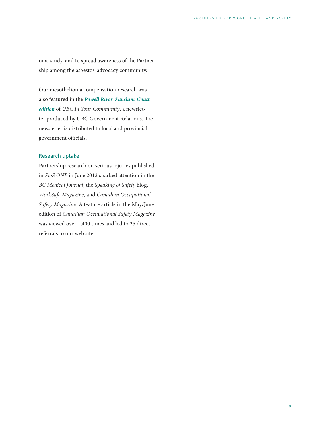oma study, and to spread awareness of the Partnership among the asbestos-advocacy community.

Our mesothelioma compensation research was also featured in the *[Powell River–Sunshine Coast](http://governmentrelations.ubc.ca/files/2012/10/UBCIYC2012OctPOWE.pdf)  [edition](http://governmentrelations.ubc.ca/files/2012/10/UBCIYC2012OctPOWE.pdf)* of *UBC In Your Community*, a newsletter produced by UBC Government Relations. The newsletter is distributed to local and provincial government officials.

#### Research uptake

Partnership research on serious injuries published in *PloS ONE* in June 2012 sparked attention in the *BC Medical Journal*, the *Speaking of Safety* blog, *WorkSafe Magazine*, and *Canadian Occupational Safety Magazine*. A feature article in the May/June edition of *Canadian Occupational Safety Magazine*  was viewed over 1,400 times and led to 25 direct referrals to our web site.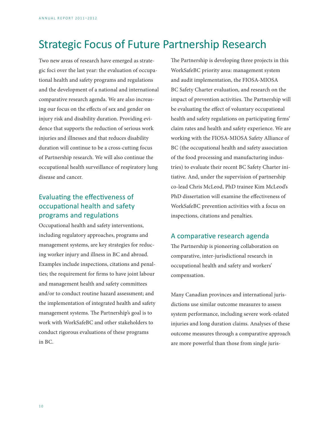# <span id="page-11-0"></span>Strategic Focus of Future Partnership Research

Two new areas of research have emerged as strategic foci over the last year: the evaluation of occupational health and safety programs and regulations and the development of a national and international comparative research agenda. We are also increasing our focus on the effects of sex and gender on injury risk and disability duration. Providing evidence that supports the reduction of serious work injuries and illnesses and that reduces disability duration will continue to be a cross-cutting focus of Partnership research. We will also continue the occupational health surveillance of respiratory lung disease and cancer.

# Evaluating the effectiveness of occupational health and safety programs and regulations

Occupational health and safety interventions, including regulatory approaches, programs and management systems, are key strategies for reducing worker injury and illness in BC and abroad. Examples include inspections, citations and penalties; the requirement for firms to have joint labour and management health and safety committees and/or to conduct routine hazard assessment; and the implementation of integrated health and safety management systems. The Partnership's goal is to work with WorkSafeBC and other stakeholders to conduct rigorous evaluations of these programs in BC.

The Partnership is developing three projects in this WorkSafeBC priority area: management system and audit implementation, the FIOSA-MIOSA BC Safety Charter evaluation, and research on the impact of prevention activities. The Partnership will be evaluating the effect of voluntary occupational health and safety regulations on participating firms' claim rates and health and safety experience. We are working with the FIOSA-MIOSA Safety Alliance of BC (the occupational health and safety association of the food processing and manufacturing industries) to evaluate their recent BC Safety Charter initiative. And, under the supervision of partnership co-lead Chris McLeod, PhD trainee Kim McLeod's PhD dissertation will examine the effectiveness of WorkSafeBC prevention activities with a focus on inspections, citations and penalties.

# A comparative research agenda

The Partnership is pioneering collaboration on comparative, inter-jurisdictional research in occupational health and safety and workers' compensation.

Many Canadian provinces and international jurisdictions use similar outcome measures to assess system performance, including severe work-related injuries and long duration claims. Analyses of these outcome measures through a comparative approach are more powerful than those from single juris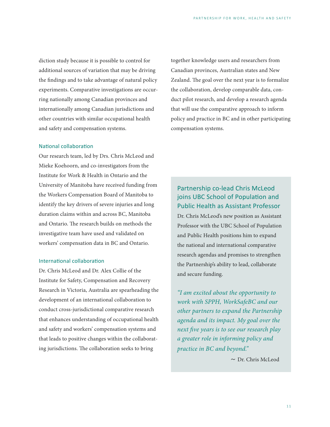diction study because it is possible to control for additional sources of variation that may be driving the findings and to take advantage of natural policy experiments. Comparative investigations are occurring nationally among Canadian provinces and internationally among Canadian jurisdictions and other countries with similar occupational health and safety and compensation systems.

#### National collaboration

Our research team, led by Drs. Chris McLeod and Mieke Koehoorn, and co-investigators from the Institute for Work & Health in Ontario and the University of Manitoba have received funding from the Workers Compensation Board of Manitoba to identify the key drivers of severe injuries and long duration claims within and across BC, Manitoba and Ontario. The research builds on methods the investigative team have used and validated on workers' compensation data in BC and Ontario.

#### International collaboration

Dr. Chris McLeod and Dr. Alex Collie of the Institute for Safety, Compensation and Recovery Research in Victoria, Australia are spearheading the development of an international collaboration to conduct cross-jurisdictional comparative research that enhances understanding of occupational health and safety and workers' compensation systems and that leads to positive changes within the collaborating jurisdictions. The collaboration seeks to bring

together knowledge users and researchers from Canadian provinces, Australian states and New Zealand. The goal over the next year is to formalize the collaboration, develop comparable data, conduct pilot research, and develop a research agenda that will use the comparative approach to inform policy and practice in BC and in other participating compensation systems.

Partnership co-lead Chris McLeod joins UBC School of Population and Public Health as Assistant Professor Dr. Chris McLeod's new position as Assistant Professor with the UBC School of Population and Public Health positions him to expand the national and international comparative research agendas and promises to strengthen the Partnership's ability to lead, collaborate and secure funding.

*"I am excited about the opportunity to work with SPPH, WorkSafeBC and our other partners to expand the Partnership agenda and its impact. My goal over the next five years is to see our research play a greater role in informing policy and practice in BC and beyond."*

 *~* Dr. Chris McLeod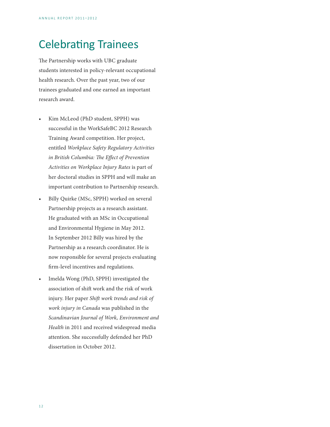# <span id="page-13-0"></span>Celebrating Trainees

The Partnership works with UBC graduate students interested in policy-relevant occupational health research. Over the past year, two of our trainees graduated and one earned an important research award.

- Kim McLeod (PhD student, SPPH) was successful in the WorkSafeBC 2012 Research Training Award competition. Her project, entitled *Workplace Safety Regulatory Activities in British Columbia: The Effect of Prevention Activities on Workplace Injury Rates* is part of her doctoral studies in SPPH and will make an important contribution to Partnership research.
- Billy Quirke (MSc, SPPH) worked on several Partnership projects as a research assistant. He graduated with an MSc in Occupational and Environmental Hygiene in May 2012. In September 2012 Billy was hired by the Partnership as a research coordinator. He is now responsible for several projects evaluating firm-level incentives and regulations.
- Imelda Wong (PhD, SPPH) investigated the association of shift work and the risk of work injury. Her paper *Shift work trends and risk of work injury in Canada* was published in the *Scandinavian Journal of Work, Environment and Health* in 2011 and received widespread media attention. She successfully defended her PhD dissertation in October 2012.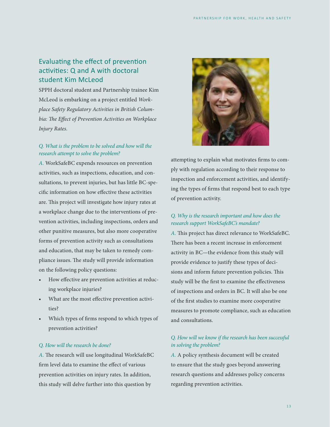# <span id="page-14-0"></span>Evaluating the effect of prevention activities: Q and A with doctoral student Kim McLeod

SPPH doctoral student and Partnership trainee Kim McLeod is embarking on a project entitled *Workplace Safety Regulatory Activities in British Columbia: The Effect of Prevention Activities on Workplace Injury Rates.*

## *Q. What is the problem to be solved and how will the research attempt to solve the problem?*

*A.* WorkSafeBC expends resources on prevention activities, such as inspections, education, and consultations, to prevent injuries, but has little BC-specific information on how effective these activities are. This project will investigate how injury rates at a workplace change due to the interventions of prevention activities, including inspections, orders and other punitive measures, but also more cooperative forms of prevention activity such as consultations and education, that may be taken to remedy compliance issues. The study will provide information on the following policy questions:

- How effective are prevention activities at reducing workplace injuries?
- What are the most effective prevention activities?
- Which types of firms respond to which types of prevention activities?

#### *Q. How will the research be done?*

*A.* The research will use longitudinal WorkSafeBC firm level data to examine the effect of various prevention activities on injury rates. In addition, this study will delve further into this question by



attempting to explain what motivates firms to comply with regulation according to their response to inspection and enforcement activities, and identifying the types of firms that respond best to each type of prevention activity.

## *Q. Why is the research important and how does the research support WorkSafeBC's mandate?*

*A.* This project has direct relevance to WorkSafeBC. There has been a recent increase in enforcement activity in BC—the evidence from this study will provide evidence to justify these types of decisions and inform future prevention policies. This study will be the first to examine the effectiveness of inspections and orders in BC. It will also be one of the first studies to examine more cooperative measures to promote compliance, such as education and consultations.

## *Q. How will we know if the research has been successful in solving the problem?*

*A.* A policy synthesis document will be created to ensure that the study goes beyond answering research questions and addresses policy concerns regarding prevention activities.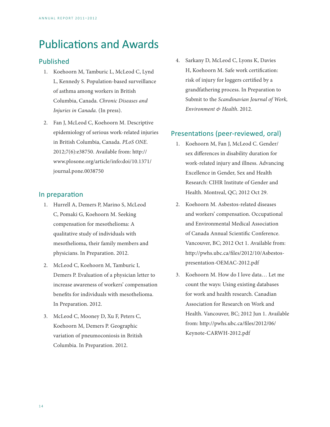# <span id="page-15-0"></span>Publications and Awards

# Published

- 1. Koehoorn M, Tamburic L, McLeod C, Lynd L, Kennedy S. Population-based surveillance of asthma among workers in British Columbia, Canada. *Chronic Diseases and Injuries in Canada.* (In press).
- 2. Fan J, McLeod C, Koehoorn M. Descriptive epidemiology of serious work-related injuries in British Columbia, Canada. *PLoS ONE*. 2012;7(6):e38750. Available from: http:// www.plosone.org/article/info:doi/10.1371/ journal.pone.0038750

## In preparation

- 1. Hurrell A, Demers P, Marino S, McLeod C, Pomaki G, Koehoorn M. Seeking compensation for mesothelioma: A qualitative study of individuals with mesothelioma, their family members and physicians. In Preparation. 2012.
- 2. McLeod C, Koehoorn M, Tamburic I, Demers P. Evaluation of a physician letter to increase awareness of workers' compensation benefits for individuals with mesothelioma. In Preparation. 2012.
- 3. McLeod C, Mooney D, Xu F, Peters C, Koehoorn M, Demers P. Geographic variation of pneumoconiosis in British Columbia. In Preparation. 2012.

4. Sarkany D, McLeod C, Lyons K, Davies H, Koehoorn M. Safe work certification: risk of injury for loggers certified by a grandfathering process. In Preparation to Submit to the *Scandinavian Journal of Work, Environment & Health*. 2012.

# Presentations (peer-reviewed, oral)

- 1. Koehoorn M, Fan J, McLeod C. Gender/ sex differences in disability duration for work-related injury and illness. Advancing Excellence in Gender, Sex and Health Research: CIHR Institute of Gender and Health. Montreal, QC; 2012 Oct 29.
- 2. Koehoorn M. Asbestos-related diseases and workers' compensation. Occupational and Environmental Medical Association of Canada Annual Scientific Conference. Vancouver, BC; 2012 Oct 1. Available from: http://pwhs.ubc.ca/files/2012/10/Asbestospresentation-OEMAC-2012.pdf
- 3. Koehoorn M. How do I love data… Let me count the ways: Using existing databases for work and health research. Canadian Association for Research on Work and Health. Vancouver, BC; 2012 Jun 1. Available from: http://pwhs.ubc.ca/files/2012/06/ Keynote-CARWH-2012.pdf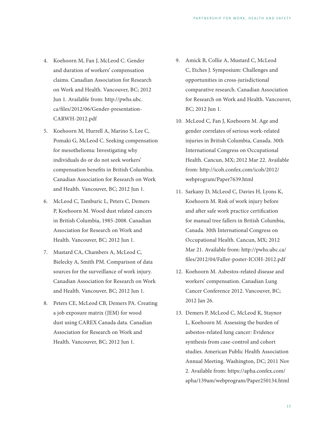- 4. Koehoorn M, Fan J, McLeod C. Gender and duration of workers' compensation claims. Canadian Association for Research on Work and Health. Vancouver, BC; 2012 Jun 1. Available from: http://pwhs.ubc. ca/files/2012/06/Gender-presentation-CARWH-2012.pdf
- 5. Koehoorn M, Hurrell A, Marino S, Lee C, Pomaki G, McLeod C. Seeking compensation for mesothelioma: Investigating why individuals do or do not seek workers' compensation benefits in British Columbia. Canadian Association for Research on Work and Health. Vancouver, BC; 2012 Jun 1.
- 6. McLeod C, Tamburic L, Peters C, Demers P, Koehoorn M. Wood dust related cancers in British Columbia, 1985-2008. Canadian Association for Research on Work and Health. Vancouver, BC; 2012 Jun 1.
- 7. Mustard CA, Chambers A, McLeod C, Bielecky A, Smith PM. Comparison of data sources for the surveillance of work injury. Canadian Association for Research on Work and Health. Vancouver, BC; 2012 Jun 1.
- 8. Peters CE, McLeod CB, Demers PA. Creating a job exposure matrix (JEM) for wood dust using CAREX Canada data. Canadian Association for Research on Work and Health. Vancouver, BC; 2012 Jun 1.
- 9. Amick B, Collie A, Mustard C, McLeod C, Etches J. Symposium: Challenges and opportunities in cross-jurisdictional comparative research. Canadian Association for Research on Work and Health. Vancouver, BC; 2012 Jun 1.
- 10. McLeod C, Fan J, Koehoorn M. Age and gender correlates of serious work-related injuries in British Columbia, Canada. 30th International Congress on Occupational Health. Cancun, MX; 2012 Mar 22. Available from: http://icoh.confex.com/icoh/2012/ webprogram/Paper7639.html
- 11. Sarkany D, McLeod C, Davies H, Lyons K, Koehoorn M. Risk of work injury before and after safe work practice certification for manual tree fallers in British Columbia, Canada. 30th International Congress on Occupational Health. Cancun, MX; 2012 Mar 21. Available from: http://pwhs.ubc.ca/ files/2012/04/Faller-poster-ICOH-2012.pdf
- 12. Koehoorn M. Asbestos-related disease and workers' compensation. Canadian Lung Cancer Conference 2012. Vancouver, BC; 2012 Jan 26.
- 13. Demers P, McLeod C, McLeod K, Staynor L, Koehoorn M. Assessing the burden of asbestos-related lung cancer: Evidence synthesis from case-control and cohort studies. American Public Health Association Annual Meeting. Washington, DC; 2011 Nov 2. Available from: https://apha.confex.com/ apha/139am/webprogram/Paper250134.html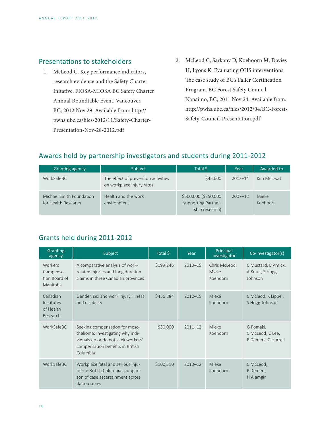## <span id="page-17-0"></span>Presentations to stakeholders

- 1. McLeod C. Key performance indicators, research evidence and the Safety Charter Initative. FIOSA-MIOSA BC Safety Charter Annual Roundtable Event. Vancouver, BC; 2012 Nov 29. Available from: http:// pwhs.ubc.ca/files/2012/11/Safety-Charter-Presentation-Nov-28-2012.pdf
- 2. McLeod C, Sarkany D, Koehoorn M, Davies H, Lyons K. Evaluating OHS interventions: The case study of BC's Faller Certification Program. BC Forest Safety Council. Nanaimo, BC; 2011 Nov 24. Available from: http://pwhs.ubc.ca/files/2012/04/BC-Forest-Safety-Council-Presentation.pdf

# Awards held by partnership investigators and students during 2011-2012

| <b>Granting agency</b>                          | Subject                                                          | Total \$                                                      | Year        | Awarded to        |
|-------------------------------------------------|------------------------------------------------------------------|---------------------------------------------------------------|-------------|-------------------|
| WorkSafeBC                                      | The effect of prevention activities<br>on workplace injury rates | \$45,000                                                      | $2012 - 14$ | Kim McLeod        |
| Michael Smith Foundation<br>for Health Research | Health and the work<br>environment                               | \$500,000 (\$250,000<br>supporting Partner-<br>ship research) | $2007 - 12$ | Mieke<br>Koehoorn |

# Grants held during 2011-2012

| Granting<br>agency                                | Subject                                                                                                                                                   | Total \$  | Year        | Principal<br>investigator          | Co-investigator(s)                                   |
|---------------------------------------------------|-----------------------------------------------------------------------------------------------------------------------------------------------------------|-----------|-------------|------------------------------------|------------------------------------------------------|
| Workers<br>Compensa-<br>tion Board of<br>Manitoba | A comparative analysis of work-<br>related injuries and long duration<br>claims in three Canadian provinces                                               | \$199,246 | $2013 - 15$ | Chris McLeod,<br>Mieke<br>Koehoorn | C Mustard, B Amick,<br>A Kraut, S Hogg-<br>Johnson   |
| Canadian<br>Institutes<br>of Health<br>Research   | Gender, sex and work injury, illness<br>and disability                                                                                                    | \$436,884 | $2012 - 15$ | Mieke<br>Koehoorn                  | C Mcleod, K Lippel,<br>S Hogg-Johnson                |
| WorkSafeBC                                        | Seeking compensation for meso-<br>thelioma: Investigating why indi-<br>viduals do or do not seek workers'<br>compensation benefits in British<br>Columbia | \$50,000  | $2011 - 12$ | Mieke<br>Koehoorn                  | G Pomaki,<br>C McLeod, C Lee,<br>P Demers, C Hurrell |
| WorkSafeBC                                        | Workplace fatal and serious inju-<br>ries in British Columbia: compari-<br>son of case ascertainment across<br>data sources                               | \$100,510 | $2010 - 12$ | Mieke<br>Koehoorn                  | C McLeod,<br>P Demers,<br>H Alamgir                  |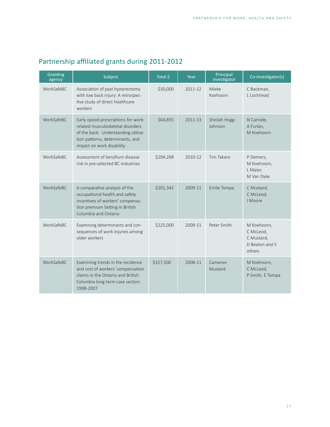| Granting<br>agency | Subject                                                                                                                                                                           | Total \$  | Year    | Principal<br>investigator | Co-investigator(s)                                                 |
|--------------------|-----------------------------------------------------------------------------------------------------------------------------------------------------------------------------------|-----------|---------|---------------------------|--------------------------------------------------------------------|
| WorkSafeBC         | Association of past hysterectomy<br>with low back injury: A retrospec-<br>tive study of direct healthcare<br>workers                                                              | \$30,000  | 2011-12 | Mieke<br>Koehoorn         | C Backman,<br>L Lochhead                                           |
| WorkSafeBC         | Early opioid prescriptions for work-<br>related musculoskeletal disorders<br>of the back: Understanding utiliza-<br>tion patterns, determinants, and<br>impact on work disability | \$64,855  | 2011-13 | Sheilah Hogg-<br>Johnson  | N Carnide,<br>A Furlan,<br>M Koehoorn                              |
| WorkSafeBC         | Assessment of beryllium disease<br>risk in pre-selected BC industries                                                                                                             | \$294,268 | 2010-12 | Tim Takaro                | P Demers,<br>M Koehoorn,<br>L Maier,<br>M Van Dyke                 |
| WorkSafeBC         | A comparative analysis of the<br>occupational health and safety<br>incentives of workers' compensa-<br>tion premium Setting in British<br>Columbia and Ontario                    | \$201,342 | 2009-11 | Emile Tompa               | C Mustard,<br>C McLeod,<br>I Moore                                 |
| <b>WorkSafeBC</b>  | Examining determinants and con-<br>sequences of work injuries among<br>older workers                                                                                              | \$225,000 | 2009-11 | Peter Smith               | M Koehoorn,<br>C McLeod,<br>C Mustard,<br>D Beaton and 5<br>others |
| WorkSafeBC         | Examining trends in the incidence<br>and cost of workers' compensation<br>claims in the Ontario and British<br>Columbia long-term care sectors<br>1998-2007                       | \$327,500 | 2008-11 | Cameron<br>Mustard        | M Koehoorn,<br>C McLeod,<br>P Smith, E Tompa                       |

# <span id="page-18-0"></span>Partnership affiliated grants during 2011-2012